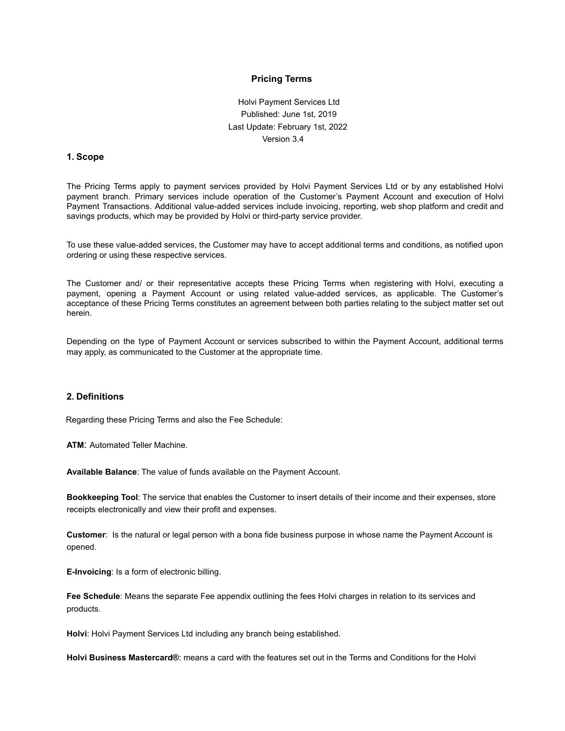### **Pricing Terms**

Holvi Payment Services Ltd Published: June 1st, 2019 Last Update: February 1st, 2022 Version 3.4

#### **1. Scope**

The Pricing Terms apply to payment services provided by Holvi Payment Services Ltd or by any established Holvi payment branch. Primary services include operation of the Customer's Payment Account and execution of Holvi Payment Transactions. Additional value-added services include invoicing, reporting, web shop platform and credit and savings products, which may be provided by Holvi or third-party service provider.

To use these value-added services, the Customer may have to accept additional terms and conditions, as notified upon ordering or using these respective services.

The Customer and/ or their representative accepts these Pricing Terms when registering with Holvi, executing a payment, opening a Payment Account or using related value-added services, as applicable. The Customer's acceptance of these Pricing Terms constitutes an agreement between both parties relating to the subject matter set out herein.

Depending on the type of Payment Account or services subscribed to within the Payment Account, additional terms may apply, as communicated to the Customer at the appropriate time.

#### **2. Definitions**

Regarding these Pricing Terms and also the Fee Schedule:

**ATM**: Automated Teller Machine.

**Available Balance**: The value of funds available on the Payment Account.

**Bookkeeping Tool**: The service that enables the Customer to insert details of their income and their expenses, store receipts electronically and view their profit and expenses.

**Customer**: Is the natural or legal person with a bona fide business purpose in whose name the Payment Account is opened.

**E-Invoicing**: Is a form of electronic billing.

**Fee Schedule**: Means the separate Fee appendix outlining the fees Holvi charges in relation to its services and products.

**Holvi**: Holvi Payment Services Ltd including any branch being established.

**Holvi Business Mastercard®**: means a card with the features set out in the Terms and Conditions for the Holvi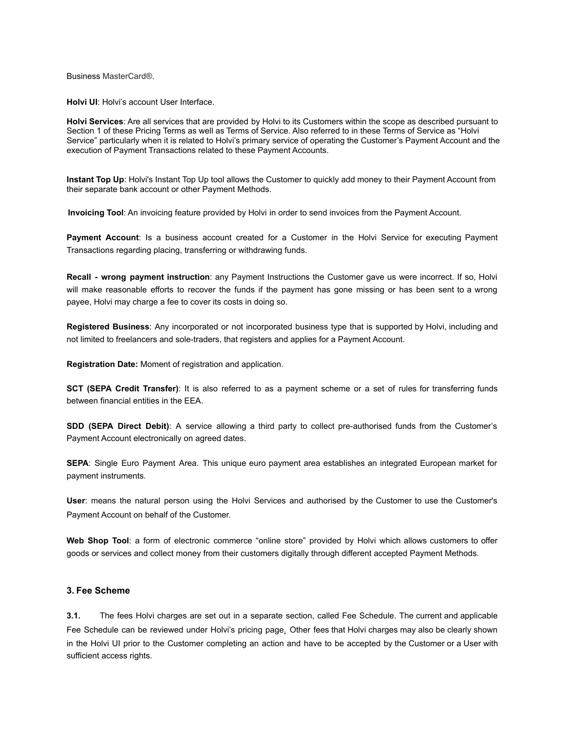Business MasterCard®.

**Holvi UI**: Holvi's account User Interface.

**Holvi Services**: Are all services that are provided by Holvi to its Customers within the scope as described pursuant to Section 1 of these Pricing Terms as well as Terms of Service. Also referred to in these Terms of Service as "Holvi Service" particularly when it is related to Holvi's primary service of operating the Customer's Payment Account and the execution of Payment Transactions related to these Payment Accounts.

**Instant Top Up**: Holvi's Instant Top Up tool allows the Customer to quickly add money to their Payment Account from their separate bank account or other Payment Methods.

**Invoicing Tool**: An invoicing feature provided by Holvi in order to send invoices from the Payment Account.

**Payment Account**: Is a business account created for a Customer in the Holvi Service for executing Payment Transactions regarding placing, transferring or withdrawing funds.

**Recall - wrong payment instruction**: any Payment Instructions the Customer gave us were incorrect. If so, Holvi will make reasonable efforts to recover the funds if the payment has gone missing or has been sent to a wrong payee, Holvi may charge a fee to cover its costs in doing so.

**Registered Business**: Any incorporated or not incorporated business type that is supported by Holvi, including and not limited to freelancers and sole-traders, that registers and applies for a Payment Account.

**Registration Date:** Moment of registration and application.

**SCT (SEPA Credit Transfer)**: It is also referred to as a payment scheme or a set of rules for transferring funds between financial entities in the EEA.

**SDD (SEPA Direct Debit)**: A service allowing a third party to collect pre-authorised funds from the Customer's Payment Account electronically on agreed dates.

**SEPA**: Single Euro Payment Area. This unique euro payment area establishes an integrated European market for payment instruments.

**User**: means the natural person using the Holvi Services and authorised by the Customer to use the Customer's Payment Account on behalf of the Customer.

**Web Shop Tool**: a form of electronic commerce "online store" provided by Holvi which allows customers to offer goods or services and collect money from their customers digitally through different accepted Payment Methods.

## **3. Fee Scheme**

**3.1.** The fees Holvi charges are set out in a separate section, called Fee Schedule. The current and applicable Fee Schedule can be reviewed under Holvi's pricing page. Other fees that Holvi charges may also be clearly shown in the Holvi UI prior to the Customer completing an action and have to be accepted by the Customer or a User with sufficient access rights.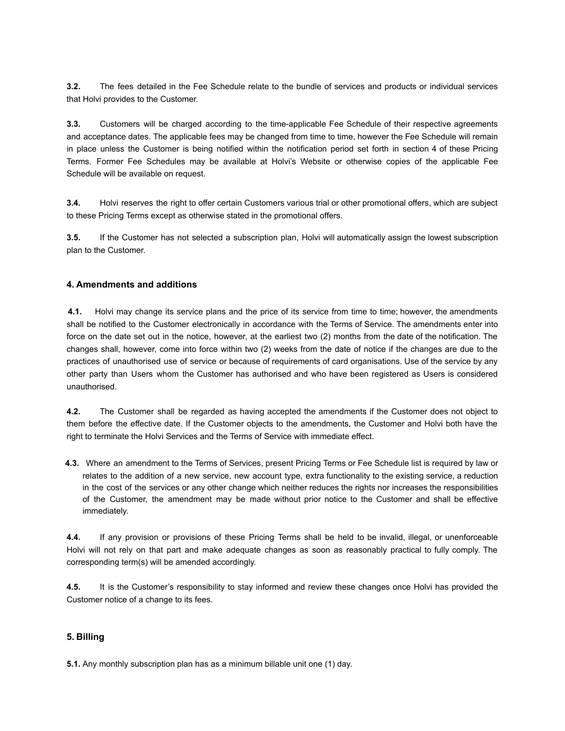**3.2.** The fees detailed in the Fee Schedule relate to the bundle of services and products or individual services that Holvi provides to the Customer.

**3.3.** Customers will be charged according to the time-applicable Fee Schedule of their respective agreements and acceptance dates. The applicable fees may be changed from time to time, however the Fee Schedule will remain in place unless the Customer is being notified within the notification period set forth in section 4 of these Pricing Terms. Former Fee Schedules may be available at Holvi's Website or otherwise copies of the applicable Fee Schedule will be available on request.

**3.4.** Holvi reserves the right to offer certain Customers various trial or other promotional offers, which are subject to these Pricing Terms except as otherwise stated in the promotional offers.

**3.5.** If the Customer has not selected a subscription plan, Holvi will automatically assign the lowest subscription plan to the Customer.

## **4. Amendments and additions**

**4.1.** Holvi may change its service plans and the price of its service from time to time; however, the amendments shall be notified to the Customer electronically in accordance with the Terms of Service. The amendments enter into force on the date set out in the notice, however, at the earliest two (2) months from the date of the notification. The changes shall, however, come into force within two (2) weeks from the date of notice if the changes are due to the practices of unauthorised use of service or because of requirements of card organisations. Use of the service by any other party than Users whom the Customer has authorised and who have been registered as Users is considered unauthorised.

**4.2.** The Customer shall be regarded as having accepted the amendments if the Customer does not object to them before the effective date. If the Customer objects to the amendments, the Customer and Holvi both have the right to terminate the Holvi Services and the Terms of Service with immediate effect.

**4.3.** Where an amendment to the Terms of Services, present Pricing Terms or Fee Schedule list is required by law or relates to the addition of a new service, new account type, extra functionality to the existing service, a reduction in the cost of the services or any other change which neither reduces the rights nor increases the responsibilities of the Customer, the amendment may be made without prior notice to the Customer and shall be effective immediately.

**4.4.** If any provision or provisions of these Pricing Terms shall be held to be invalid, illegal, or unenforceable Holvi will not rely on that part and make adequate changes as soon as reasonably practical to fully comply. The corresponding term(s) will be amended accordingly.

**4.5.** It is the Customer's responsibility to stay informed and review these changes once Holvi has provided the Customer notice of a change to its fees.

## **5. Billing**

**5.1.** Any monthly subscription plan has as a minimum billable unit one (1) day.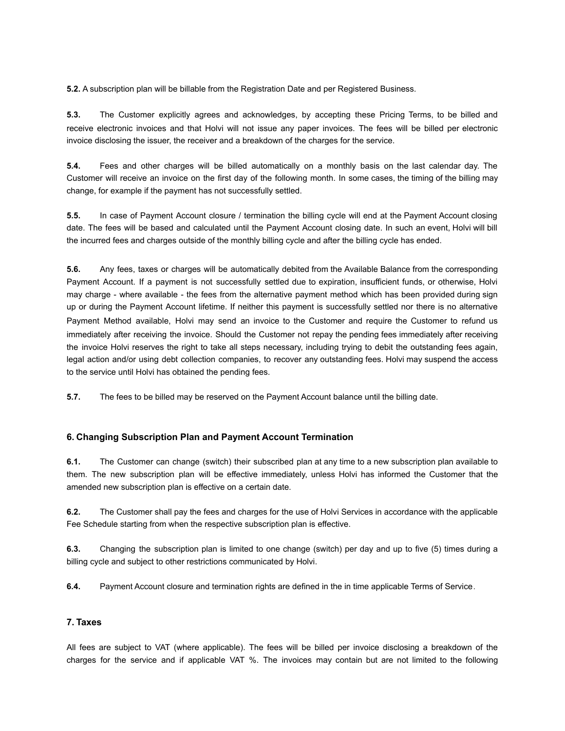**5.2.** A subscription plan will be billable from the Registration Date and per Registered Business.

**5.3.** The Customer explicitly agrees and acknowledges, by accepting these Pricing Terms, to be billed and receive electronic invoices and that Holvi will not issue any paper invoices. The fees will be billed per electronic invoice disclosing the issuer, the receiver and a breakdown of the charges for the service.

**5.4.** Fees and other charges will be billed automatically on a monthly basis on the last calendar day. The Customer will receive an invoice on the first day of the following month. In some cases, the timing of the billing may change, for example if the payment has not successfully settled.

**5.5.** In case of Payment Account closure / termination the billing cycle will end at the Payment Account closing date. The fees will be based and calculated until the Payment Account closing date. In such an event, Holvi will bill the incurred fees and charges outside of the monthly billing cycle and after the billing cycle has ended.

**5.6.** Any fees, taxes or charges will be automatically debited from the Available Balance from the corresponding Payment Account. If a payment is not successfully settled due to expiration, insufficient funds, or otherwise, Holvi may charge - where available - the fees from the alternative payment method which has been provided during sign up or during the Payment Account lifetime. If neither this payment is successfully settled nor there is no alternative Payment Method available, Holvi may send an invoice to the Customer and require the Customer to refund us immediately after receiving the invoice. Should the Customer not repay the pending fees immediately after receiving the invoice Holvi reserves the right to take all steps necessary, including trying to debit the outstanding fees again, legal action and/or using debt collection companies, to recover any outstanding fees. Holvi may suspend the access to the service until Holvi has obtained the pending fees.

**5.7.** The fees to be billed may be reserved on the Payment Account balance until the billing date.

# **6. Changing Subscription Plan and Payment Account Termination**

**6.1.** The Customer can change (switch) their subscribed plan at any time to a new subscription plan available to them. The new subscription plan will be effective immediately, unless Holvi has informed the Customer that the amended new subscription plan is effective on a certain date.

**6.2.** The Customer shall pay the fees and charges for the use of Holvi Services in accordance with the applicable Fee Schedule starting from when the respective subscription plan is effective.

**6.3.** Changing the subscription plan is limited to one change (switch) per day and up to five (5) times during a billing cycle and subject to other restrictions communicated by Holvi.

**6.4.** Payment Account closure and termination rights are defined in the in time applicable Terms of Service.

## **7. Taxes**

All fees are subject to VAT (where applicable). The fees will be billed per invoice disclosing a breakdown of the charges for the service and if applicable VAT %. The invoices may contain but are not limited to the following